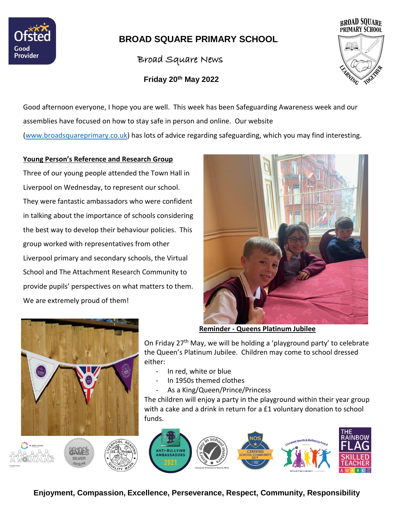

# **BROAD SQUARE PRIMARY SCHOOL**

Broad Square News

 **Friday 20th May 2022**



Good afternoon everyone, I hope you are well. This week has been Safeguarding Awareness week and our assemblies have focused on how to stay safe in person and online. Our website [\(www.broadsquareprimary.co.uk\)](http://www.broadsquareprimary.co.uk/) has lots of advice regarding safeguarding, which you may find interesting.

#### **Young Person's Reference and Research Group**

Three of our young people attended the Town Hall in Liverpool on Wednesday, to represent our school. They were fantastic ambassadors who were confident in talking about the importance of schools considering the best way to develop their behaviour policies. This group worked with representatives from other Liverpool primary and secondary schools, the Virtual School and The Attachment Research Community to provide pupils' perspectives on what matters to them. We are extremely proud of them!



**Reminder - Queens Platinum Jubilee**

On Friday 27<sup>th</sup> May, we will be holding a 'playground party' to celebrate the Queen's Platinum Jubilee. Children may come to school dressed either:

- In red, white or blue
- In 1950s themed clothes
- As a King/Queen/Prince/Princess

The children will enjoy a party in the playground within their year group with a cake and a drink in return for a £1 voluntary donation to school funds.



**Enjoyment, Compassion, Excellence, Perseverance, Respect, Community, Responsibility**

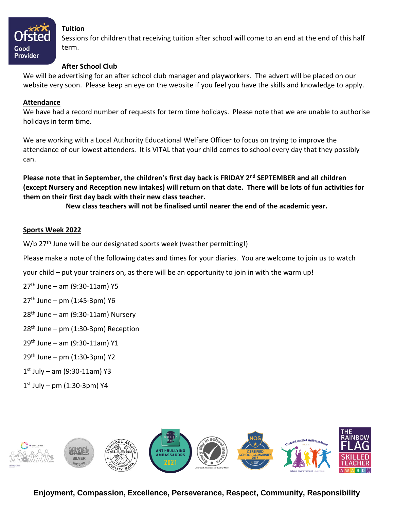

#### **Tuition**

Sessions for children that receiving tuition after school will come to an end at the end of this half term.

#### **After School Club**

We will be advertising for an after school club manager and playworkers. The advert will be placed on our website very soon. Please keep an eye on the website if you feel you have the skills and knowledge to apply.

#### **Attendance**

We have had a record number of requests for term time holidays. Please note that we are unable to authorise holidays in term time.

We are working with a Local Authority Educational Welfare Officer to focus on trying to improve the attendance of our lowest attenders. It is VITAL that your child comes to school every day that they possibly can.

**Please note that in September, the children's first day back is FRIDAY 2nd SEPTEMBER and all children (except Nursery and Reception new intakes) will return on that date. There will be lots of fun activities for them on their first day back with their new class teacher.** 

**New class teachers will not be finalised until nearer the end of the academic year.**

### **Sports Week 2022**

W/b 27<sup>th</sup> June will be our designated sports week (weather permitting!)

Please make a note of the following dates and times for your diaries. You are welcome to join us to watch

your child – put your trainers on, as there will be an opportunity to join in with the warm up!

- 27<sup>th</sup> June am (9:30-11am) Y5
- $27<sup>th</sup>$  June pm (1:45-3pm) Y6
- $28<sup>th</sup>$  June am (9:30-11am) Nursery
- $28<sup>th</sup>$  June pm (1:30-3pm) Reception
- $29<sup>th</sup>$  June am (9:30-11am) Y1
- $29<sup>th</sup>$  June pm (1:30-3pm) Y2
- 1 st July am (9:30-11am) Y3
- 1 st July pm (1:30-3pm) Y4



**Enjoyment, Compassion, Excellence, Perseverance, Respect, Community, Responsibility**